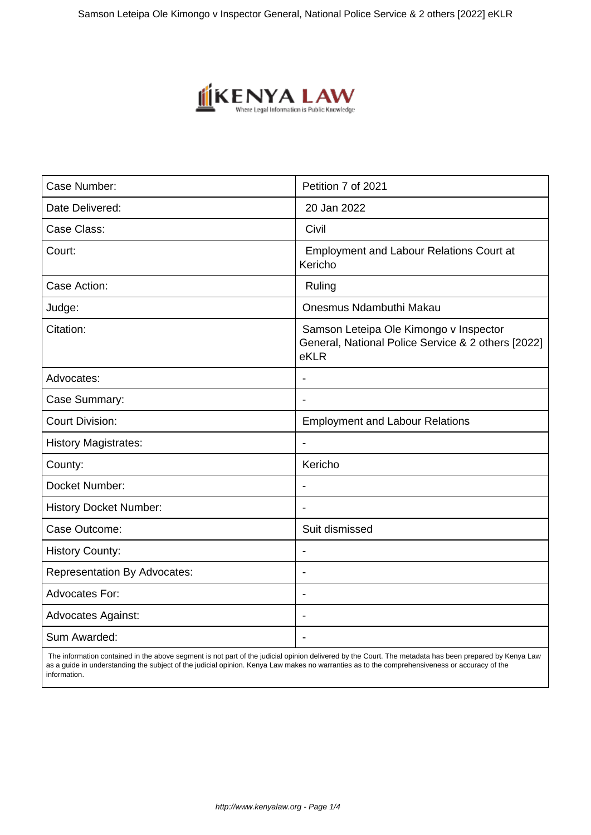

| Case Number:                        | Petition 7 of 2021                                                                                   |
|-------------------------------------|------------------------------------------------------------------------------------------------------|
| Date Delivered:                     | 20 Jan 2022                                                                                          |
| Case Class:                         | Civil                                                                                                |
| Court:                              | <b>Employment and Labour Relations Court at</b><br>Kericho                                           |
| Case Action:                        | Ruling                                                                                               |
| Judge:                              | Onesmus Ndambuthi Makau                                                                              |
| Citation:                           | Samson Leteipa Ole Kimongo v Inspector<br>General, National Police Service & 2 others [2022]<br>eKLR |
| Advocates:                          | $\overline{\phantom{a}}$                                                                             |
| Case Summary:                       |                                                                                                      |
| <b>Court Division:</b>              | <b>Employment and Labour Relations</b>                                                               |
| <b>History Magistrates:</b>         | $\blacksquare$                                                                                       |
| County:                             | Kericho                                                                                              |
| Docket Number:                      |                                                                                                      |
| <b>History Docket Number:</b>       |                                                                                                      |
| Case Outcome:                       | Suit dismissed                                                                                       |
| <b>History County:</b>              |                                                                                                      |
| <b>Representation By Advocates:</b> |                                                                                                      |
| <b>Advocates For:</b>               | ÷                                                                                                    |
| <b>Advocates Against:</b>           |                                                                                                      |
| Sum Awarded:                        |                                                                                                      |

 The information contained in the above segment is not part of the judicial opinion delivered by the Court. The metadata has been prepared by Kenya Law as a guide in understanding the subject of the judicial opinion. Kenya Law makes no warranties as to the comprehensiveness or accuracy of the information.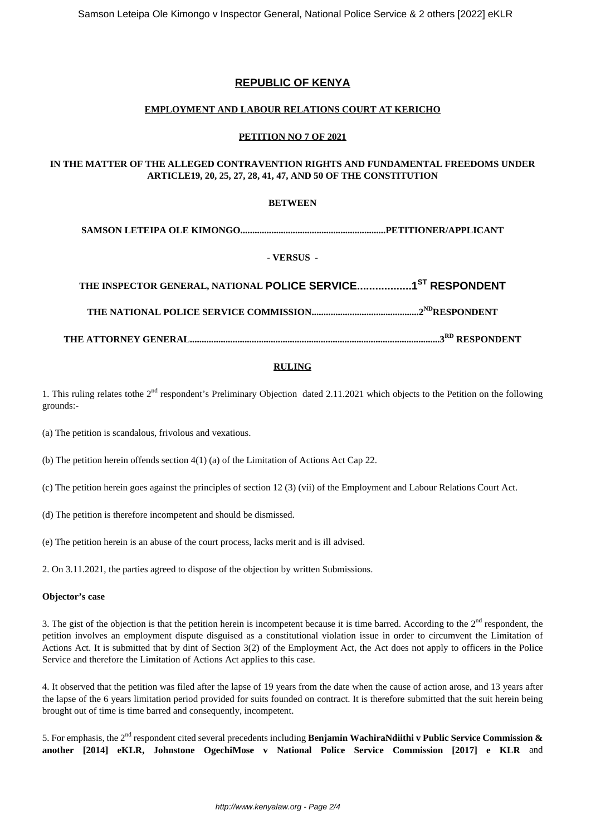# **REPUBLIC OF KENYA**

## **EMPLOYMENT AND LABOUR RELATIONS COURT AT KERICHO**

## **PETITION NO 7 OF 2021**

## **IN THE MATTER OF THE ALLEGED CONTRAVENTION RIGHTS AND FUNDAMENTAL FREEDOMS UNDER ARTICLE19, 20, 25, 27, 28, 41, 47, AND 50 OF THE CONSTITUTION**

## **BETWEEN**

**SAMSON LETEIPA OLE KIMONGO.............................................................PETITIONER/APPLICANT**

## - **VERSUS -**

**THE INSPECTOR GENERAL, NATIONAL POLICE SERVICE..................1ST RESPONDENT**

**THE NATIONAL POLICE SERVICE COMMISSION.............................................2NDRESPONDENT**

**THE ATTORNEY GENERAL.........................................................................................................3RD RESPONDENT**

## **RULING**

1. This ruling relates tothe  $2<sup>nd</sup>$  respondent's Preliminary Objection dated 2.11.2021 which objects to the Petition on the following grounds:-

(a) The petition is scandalous, frivolous and vexatious.

(b) The petition herein offends section 4(1) (a) of the Limitation of Actions Act Cap 22.

(c) The petition herein goes against the principles of section 12 (3) (vii) of the Employment and Labour Relations Court Act.

(d) The petition is therefore incompetent and should be dismissed.

(e) The petition herein is an abuse of the court process, lacks merit and is ill advised.

2. On 3.11.2021, the parties agreed to dispose of the objection by written Submissions.

#### **Objector's case**

3. The gist of the objection is that the petition herein is incompetent because it is time barred. According to the  $2<sup>nd</sup>$  respondent, the petition involves an employment dispute disguised as a constitutional violation issue in order to circumvent the Limitation of Actions Act. It is submitted that by dint of Section 3(2) of the Employment Act, the Act does not apply to officers in the Police Service and therefore the Limitation of Actions Act applies to this case.

4. It observed that the petition was filed after the lapse of 19 years from the date when the cause of action arose, and 13 years after the lapse of the 6 years limitation period provided for suits founded on contract. It is therefore submitted that the suit herein being brought out of time is time barred and consequently, incompetent.

5. For emphasis, the 2nd respondent cited several precedents including **Benjamin WachiraNdiithi v Public Service Commission & another [2014] eKLR, Johnstone OgechiMose v National Police Service Commission [2017] e KLR** and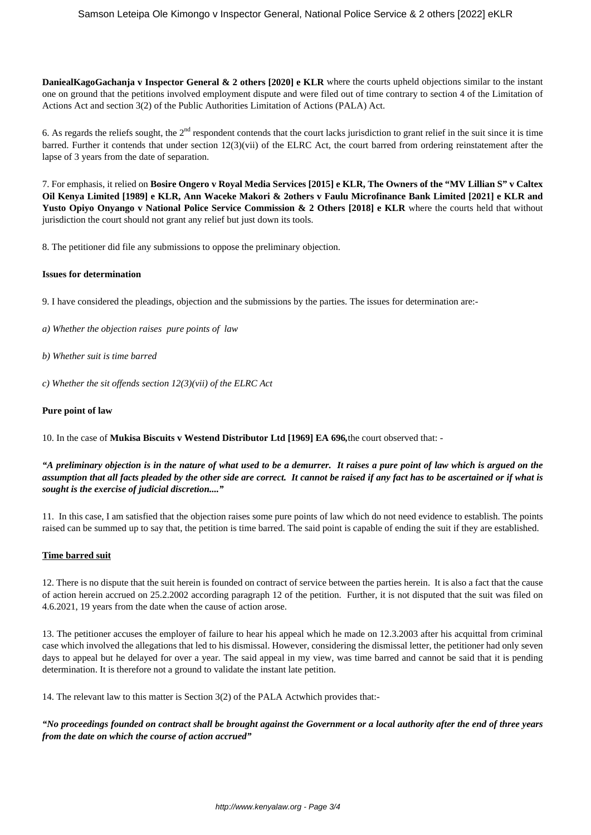**DaniealKagoGachanja v Inspector General & 2 others [2020] e KLR** where the courts upheld objections similar to the instant one on ground that the petitions involved employment dispute and were filed out of time contrary to section 4 of the Limitation of Actions Act and section 3(2) of the Public Authorities Limitation of Actions (PALA) Act.

6. As regards the reliefs sought, the  $2<sup>nd</sup>$  respondent contends that the court lacks jurisdiction to grant relief in the suit since it is time barred. Further it contends that under section 12(3)(vii) of the ELRC Act, the court barred from ordering reinstatement after the lapse of 3 years from the date of separation.

7. For emphasis, it relied on **Bosire Ongero v Royal Media Services [2015] e KLR, The Owners of the "MV Lillian S" v Caltex Oil Kenya Limited [1989] e KLR, Ann Waceke Makori & 2others v Faulu Microfinance Bank Limited [2021] e KLR and Yusto Opiyo Onyango v National Police Service Commission & 2 Others [2018] e KLR** where the courts held that without jurisdiction the court should not grant any relief but just down its tools.

8. The petitioner did file any submissions to oppose the preliminary objection.

#### **Issues for determination**

9. I have considered the pleadings, objection and the submissions by the parties. The issues for determination are:-

- *a) Whether the objection raises pure points of law*
- *b) Whether suit is time barred*
- *c) Whether the sit offends section 12(3)(vii) of the ELRC Act*

#### **Pure point of law**

10. In the case of **Mukisa Biscuits v Westend Distributor Ltd [1969] EA 696***,*the court observed that: -

*"A preliminary objection is in the nature of what used to be a demurrer. It raises a pure point of law which is argued on the assumption that all facts pleaded by the other side are correct. It cannot be raised if any fact has to be ascertained or if what is sought is the exercise of judicial discretion...."*

11. In this case, I am satisfied that the objection raises some pure points of law which do not need evidence to establish. The points raised can be summed up to say that, the petition is time barred. The said point is capable of ending the suit if they are established.

#### **Time barred suit**

12. There is no dispute that the suit herein is founded on contract of service between the parties herein. It is also a fact that the cause of action herein accrued on 25.2.2002 according paragraph 12 of the petition. Further, it is not disputed that the suit was filed on 4.6.2021, 19 years from the date when the cause of action arose.

13. The petitioner accuses the employer of failure to hear his appeal which he made on 12.3.2003 after his acquittal from criminal case which involved the allegations that led to his dismissal. However, considering the dismissal letter, the petitioner had only seven days to appeal but he delayed for over a year. The said appeal in my view, was time barred and cannot be said that it is pending determination. It is therefore not a ground to validate the instant late petition.

14. The relevant law to this matter is Section 3(2) of the PALA Actwhich provides that:-

*"No proceedings founded on contract shall be brought against the Government or a local authority after the end of three years from the date on which the course of action accrued"*